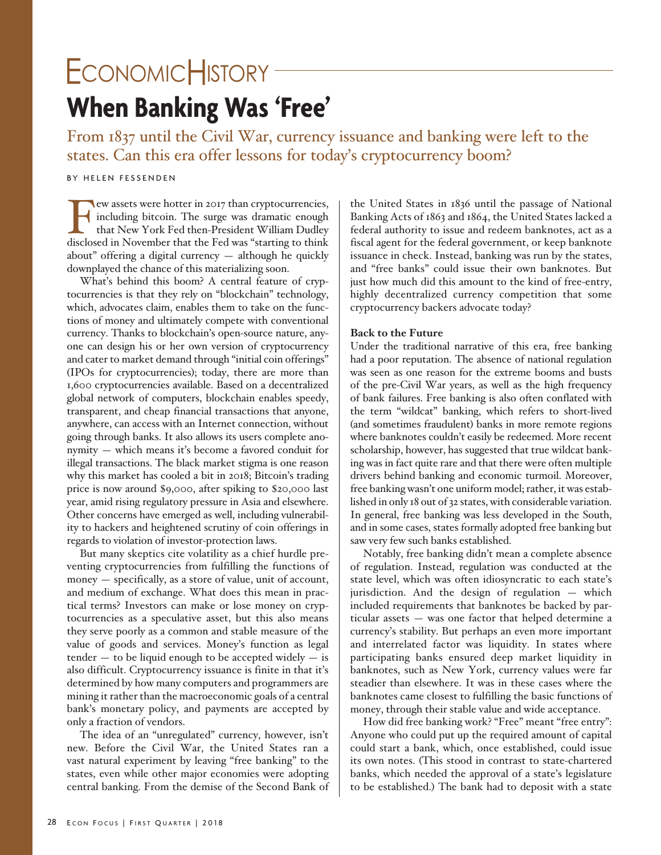# **When Banking Was 'Free'**  ECONOMICHISTORY<sup>®</sup>

From 1837 until the Civil War, currency issuance and banking were left to the states. Can this era offer lessons for today's cryptocurrency boom?

## BY HELEN FESSENDEN

Few assets were hotter in 2017 than cryptocurrencies,<br>including bitcoin. The surge was dramatic enough<br>that New York Fed then-President William Dudley<br>disclosed in November that the Fed was "starting to think including bitcoin. The surge was dramatic enough that New York Fed then-President William Dudley disclosed in November that the Fed was "starting to think about" offering a digital currency — although he quickly downplayed the chance of this materializing soon.

What's behind this boom? A central feature of cryptocurrencies is that they rely on "blockchain" technology, which, advocates claim, enables them to take on the functions of money and ultimately compete with conventional currency. Thanks to blockchain's open-source nature, anyone can design his or her own version of cryptocurrency and cater to market demand through "initial coin offerings" (IPOs for cryptocurrencies); today, there are more than 1,600 cryptocurrencies available. Based on a decentralized global network of computers, blockchain enables speedy, transparent, and cheap financial transactions that anyone, anywhere, can access with an Internet connection, without going through banks. It also allows its users complete anonymity — which means it's become a favored conduit for illegal transactions. The black market stigma is one reason why this market has cooled a bit in 2018; Bitcoin's trading price is now around \$9,000, after spiking to \$20,000 last year, amid rising regulatory pressure in Asia and elsewhere. Other concerns have emerged as well, including vulnerability to hackers and heightened scrutiny of coin offerings in regards to violation of investor-protection laws.

But many skeptics cite volatility as a chief hurdle preventing cryptocurrencies from fulfilling the functions of money — specifically, as a store of value, unit of account, and medium of exchange. What does this mean in practical terms? Investors can make or lose money on cryptocurrencies as a speculative asset, but this also means they serve poorly as a common and stable measure of the value of goods and services. Money's function as legal  $tender - to be liquid enough to be accepted widely - is$ also difficult. Cryptocurrency issuance is finite in that it's determined by how many computers and programmers are mining it rather than the macroeconomic goals of a central bank's monetary policy, and payments are accepted by only a fraction of vendors.

The idea of an "unregulated" currency, however, isn't new. Before the Civil War, the United States ran a vast natural experiment by leaving "free banking" to the states, even while other major economies were adopting central banking. From the demise of the Second Bank of the United States in 1836 until the passage of National Banking Acts of 1863 and 1864, the United States lacked a federal authority to issue and redeem banknotes, act as a fiscal agent for the federal government, or keep banknote issuance in check. Instead, banking was run by the states, and "free banks" could issue their own banknotes. But just how much did this amount to the kind of free-entry, highly decentralized currency competition that some cryptocurrency backers advocate today?

### **Back to the Future**

Under the traditional narrative of this era, free banking had a poor reputation. The absence of national regulation was seen as one reason for the extreme booms and busts of the pre-Civil War years, as well as the high frequency of bank failures. Free banking is also often conflated with the term "wildcat" banking, which refers to short-lived (and sometimes fraudulent) banks in more remote regions where banknotes couldn't easily be redeemed. More recent scholarship, however, has suggested that true wildcat banking was in fact quite rare and that there were often multiple drivers behind banking and economic turmoil. Moreover, free banking wasn't one uniform model; rather, it was established in only 18 out of 32 states, with considerable variation. In general, free banking was less developed in the South, and in some cases, states formally adopted free banking but saw very few such banks established.

Notably, free banking didn't mean a complete absence of regulation. Instead, regulation was conducted at the state level, which was often idiosyncratic to each state's jurisdiction. And the design of regulation — which included requirements that banknotes be backed by particular assets — was one factor that helped determine a currency's stability. But perhaps an even more important and interrelated factor was liquidity. In states where participating banks ensured deep market liquidity in banknotes, such as New York, currency values were far steadier than elsewhere. It was in these cases where the banknotes came closest to fulfilling the basic functions of money, through their stable value and wide acceptance.

How did free banking work? "Free" meant "free entry": Anyone who could put up the required amount of capital could start a bank, which, once established, could issue its own notes. (This stood in contrast to state-chartered banks, which needed the approval of a state's legislature to be established.) The bank had to deposit with a state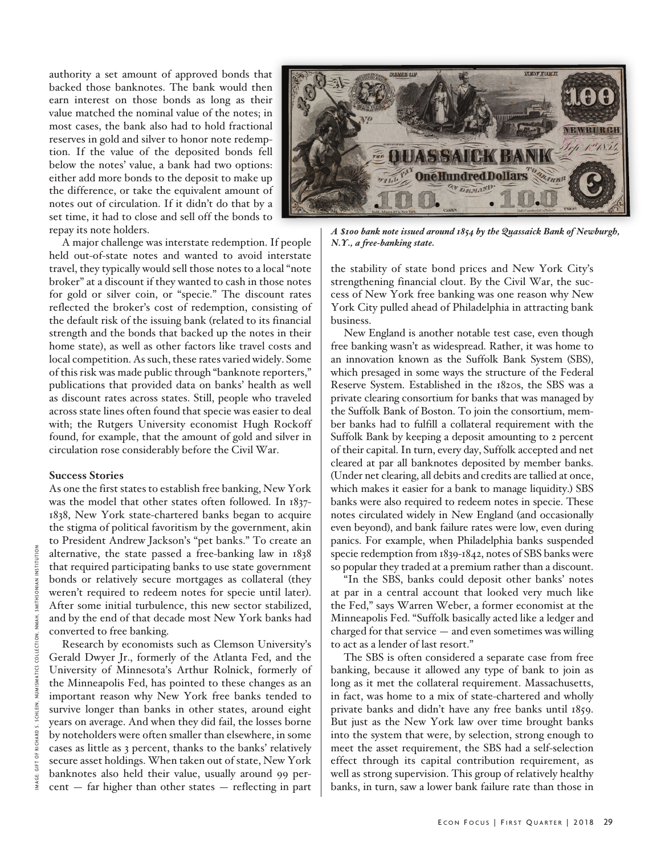authority a set amount of approved bonds that backed those banknotes. The bank would then earn interest on those bonds as long as their value matched the nominal value of the notes; in most cases, the bank also had to hold fractional reserves in gold and silver to honor note redemption. If the value of the deposited bonds fell below the notes' value, a bank had two options: either add more bonds to the deposit to make up the difference, or take the equivalent amount of notes out of circulation. If it didn't do that by a set time, it had to close and sell off the bonds to repay its note holders.



*A \$100 bank note issued around 1854 by the Quassaick Bank of Newburgh, N.Y., a free-banking state.* 

the stability of state bond prices and New York City's strengthening financial clout. By the Civil War, the success of New York free banking was one reason why New York City pulled ahead of Philadelphia in attracting bank business.

New England is another notable test case, even though free banking wasn't as widespread. Rather, it was home to an innovation known as the Suffolk Bank System (SBS), which presaged in some ways the structure of the Federal Reserve System. Established in the 1820s, the SBS was a private clearing consortium for banks that was managed by the Suffolk Bank of Boston. To join the consortium, member banks had to fulfill a collateral requirement with the Suffolk Bank by keeping a deposit amounting to 2 percent of their capital. In turn, every day, Suffolk accepted and net cleared at par all banknotes deposited by member banks. (Under net clearing, all debits and credits are tallied at once, which makes it easier for a bank to manage liquidity.) SBS banks were also required to redeem notes in specie. These notes circulated widely in New England (and occasionally even beyond), and bank failure rates were low, even during panics. For example, when Philadelphia banks suspended specie redemption from 1839-1842, notes of SBS banks were so popular they traded at a premium rather than a discount.

"In the SBS, banks could deposit other banks' notes at par in a central account that looked very much like the Fed," says Warren Weber, a former economist at the Minneapolis Fed. "Suffolk basically acted like a ledger and charged for that service — and even sometimes was willing to act as a lender of last resort."

The SBS is often considered a separate case from free banking, because it allowed any type of bank to join as long as it met the collateral requirement. Massachusetts, in fact, was home to a mix of state-chartered and wholly private banks and didn't have any free banks until 1859. But just as the New York law over time brought banks into the system that were, by selection, strong enough to meet the asset requirement, the SBS had a self-selection effect through its capital contribution requirement, as well as strong supervision. This group of relatively healthy banks, in turn, saw a lower bank failure rate than those in

A major challenge was interstate redemption. If people held out-of-state notes and wanted to avoid interstate travel, they typically would sell those notes to a local "note broker" at a discount if they wanted to cash in those notes for gold or silver coin, or "specie." The discount rates reflected the broker's cost of redemption, consisting of the default risk of the issuing bank (related to its financial strength and the bonds that backed up the notes in their home state), as well as other factors like travel costs and local competition. As such, these rates varied widely. Some of this risk was made public through "banknote reporters," publications that provided data on banks' health as well as discount rates across states. Still, people who traveled across state lines often found that specie was easier to deal with; the Rutgers University economist Hugh Rockoff found, for example, that the amount of gold and silver in circulation rose considerably before the Civil War.

### **Success Stories**

As one the first states to establish free banking, New York was the model that other states often followed. In 1837- 1838, New York state-chartered banks began to acquire the stigma of political favoritism by the government, akin to President Andrew Jackson's "pet banks." To create an alternative, the state passed a free-banking law in 1838 that required participating banks to use state government bonds or relatively secure mortgages as collateral (they weren't required to redeem notes for specie until later). After some initial turbulence, this new sector stabilized, and by the end of that decade most New York banks had converted to free banking.

Research by economists such as Clemson University's Gerald Dwyer Jr., formerly of the Atlanta Fed, and the University of Minnesota's Arthur Rolnick, formerly of the Minneapolis Fed, has pointed to these changes as an important reason why New York free banks tended to survive longer than banks in other states, around eight years on average. And when they did fail, the losses borne by noteholders were often smaller than elsewhere, in some cases as little as 3 percent, thanks to the banks' relatively secure asset holdings. When taken out of state, New York banknotes also held their value, usually around 99 percent — far higher than other states — reflecting in part